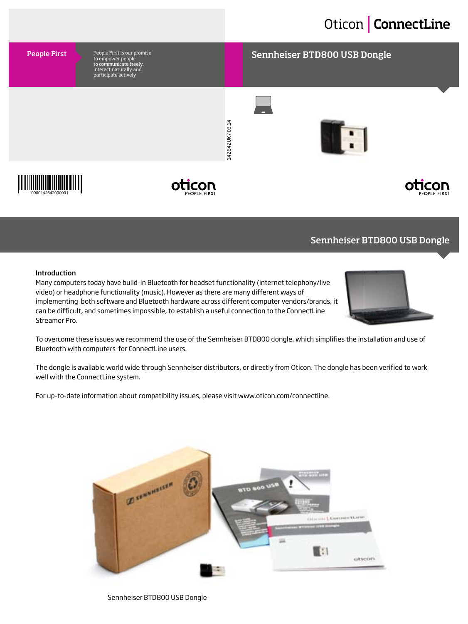# Oticon | ConnectLine

### People First is our promise<br>An amperiation of the Sennheiser BTD800 USB Dongle

142642UK/03.14 142642UK / 03.14





People First

to empower people to communicate freely, interact naturally and participate actively

### Sennheiser BTD800 USB Dongle

#### Introduction

Many computers today have build-in Bluetooth for headset functionality (internet telephony/live video) or headphone functionality (music). However as there are many different ways of implementing both software and Bluetooth hardware across different computer vendors/brands, it can be difficult, and sometimes impossible, to establish a useful connection to the ConnectLine Streamer Pro.



To overcome these issues we recommend the use of the Sennheiser BTD800 dongle, which simplifies the installation and use of Bluetooth with computers for ConnectLine users.

The dongle is available world wide through Sennheiser distributors, or directly from Oticon. The dongle has been verified to work well with the ConnectLine system.

For up-to-date information about compatibility issues, please visit www.oticon.com/connectline.



Sennheiser BTD800 USB Dongle